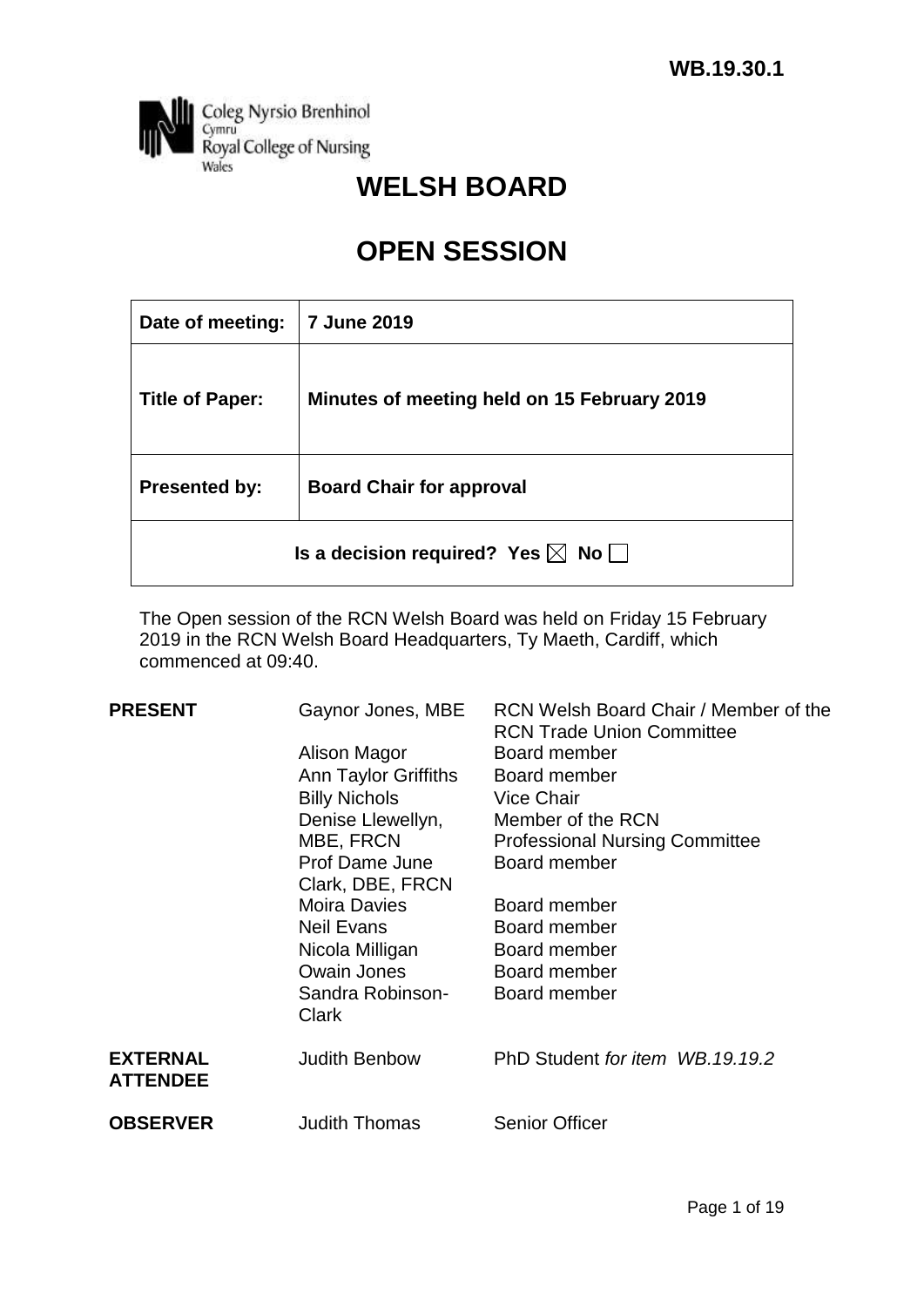

# **WELSH BOARD**

# **OPEN SESSION**

| Date of meeting:                                        | <b>7 June 2019</b>                          |  |  |  |
|---------------------------------------------------------|---------------------------------------------|--|--|--|
| <b>Title of Paper:</b>                                  | Minutes of meeting held on 15 February 2019 |  |  |  |
| <b>Board Chair for approval</b><br><b>Presented by:</b> |                                             |  |  |  |
| Is a decision required? Yes $\boxtimes$ No $\Box$       |                                             |  |  |  |

The Open session of the RCN Welsh Board was held on Friday 15 February 2019 in the RCN Welsh Board Headquarters, Ty Maeth, Cardiff, which commenced at 09:40.

| <b>PRESENT</b>                     | Gaynor Jones, MBE<br>Alison Magor<br>Ann Taylor Griffiths<br><b>Billy Nichols</b><br>Denise Llewellyn,<br>MBE, FRCN | RCN Welsh Board Chair / Member of the<br><b>RCN Trade Union Committee</b><br>Board member<br>Board member<br><b>Vice Chair</b><br>Member of the RCN<br><b>Professional Nursing Committee</b> |
|------------------------------------|---------------------------------------------------------------------------------------------------------------------|----------------------------------------------------------------------------------------------------------------------------------------------------------------------------------------------|
|                                    | Prof Dame June<br>Clark, DBE, FRCN                                                                                  | Board member                                                                                                                                                                                 |
|                                    | <b>Moira Davies</b>                                                                                                 | Board member                                                                                                                                                                                 |
|                                    | <b>Neil Evans</b>                                                                                                   | Board member                                                                                                                                                                                 |
|                                    | Nicola Milligan                                                                                                     | Board member                                                                                                                                                                                 |
|                                    | <b>Owain Jones</b>                                                                                                  | Board member                                                                                                                                                                                 |
|                                    | Sandra Robinson-<br>Clark                                                                                           | Board member                                                                                                                                                                                 |
| <b>EXTERNAL</b><br><b>ATTENDEE</b> | <b>Judith Benbow</b>                                                                                                | PhD Student for item WB.19.19.2                                                                                                                                                              |
| <b>OBSERVER</b>                    | <b>Judith Thomas</b>                                                                                                | <b>Senior Officer</b>                                                                                                                                                                        |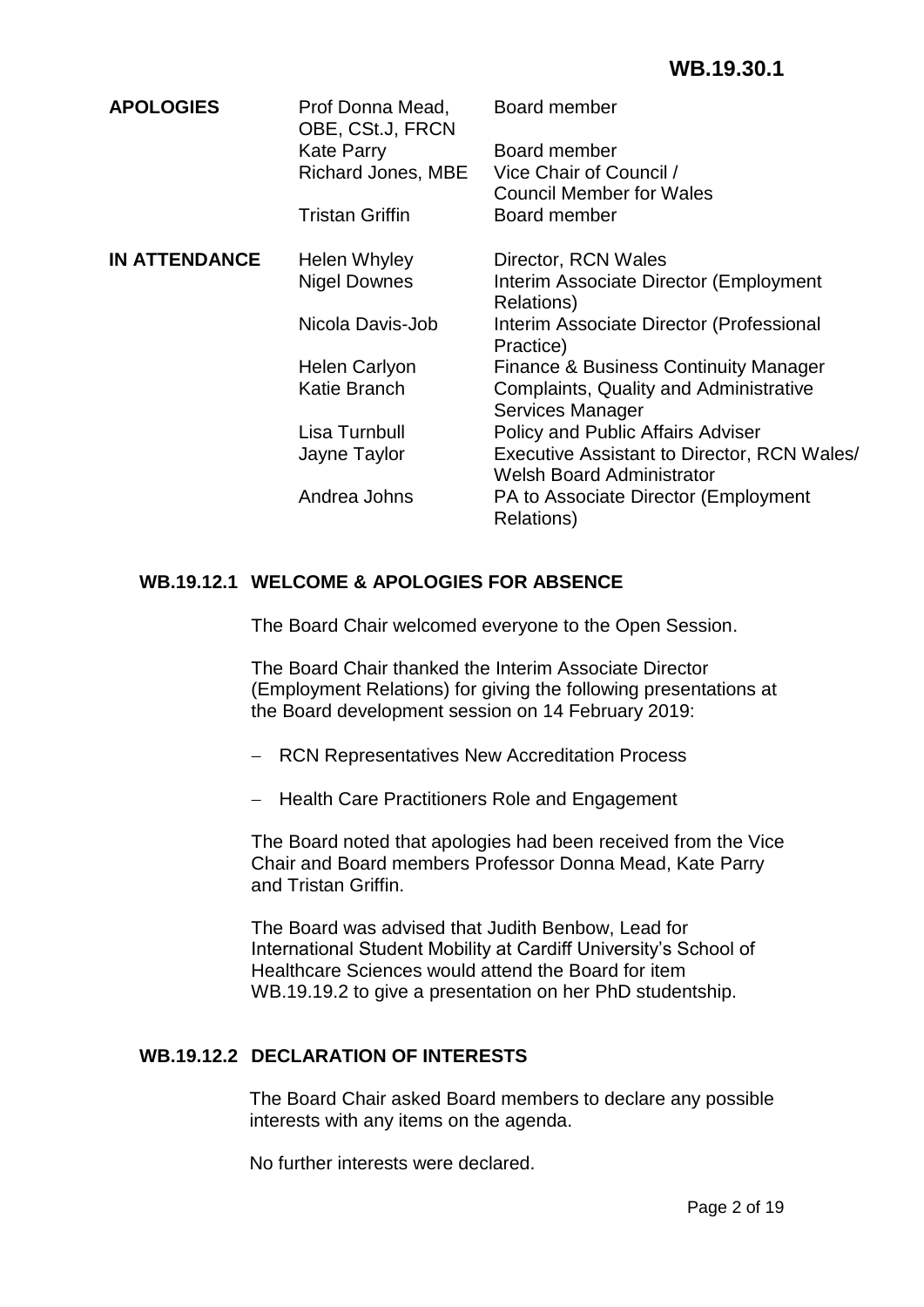| Prof Donna Mead,                               | Board member                                                                    |  |  |
|------------------------------------------------|---------------------------------------------------------------------------------|--|--|
| <b>Kate Parry</b><br><b>Richard Jones, MBE</b> | Board member<br>Vice Chair of Council /                                         |  |  |
| <b>Tristan Griffin</b>                         | <b>Council Member for Wales</b><br>Board member                                 |  |  |
|                                                | Director, RCN Wales                                                             |  |  |
| <b>Nigel Downes</b>                            | Interim Associate Director (Employment<br>Relations)                            |  |  |
| Nicola Davis-Job                               | Interim Associate Director (Professional<br>Practice)                           |  |  |
| Helen Carlyon                                  | <b>Finance &amp; Business Continuity Manager</b>                                |  |  |
| Katie Branch                                   | Complaints, Quality and Administrative<br>Services Manager                      |  |  |
| Lisa Turnbull                                  | Policy and Public Affairs Adviser                                               |  |  |
| Jayne Taylor                                   | Executive Assistant to Director, RCN Wales/<br><b>Welsh Board Administrator</b> |  |  |
| Andrea Johns                                   | PA to Associate Director (Employment<br>Relations)                              |  |  |
|                                                | OBE, CSt.J, FRCN<br>Helen Whyley                                                |  |  |

# **WB.19.12.1 WELCOME & APOLOGIES FOR ABSENCE**

The Board Chair welcomed everyone to the Open Session.

The Board Chair thanked the Interim Associate Director (Employment Relations) for giving the following presentations at the Board development session on 14 February 2019:

- RCN Representatives New Accreditation Process
- Health Care Practitioners Role and Engagement

The Board noted that apologies had been received from the Vice Chair and Board members Professor Donna Mead, Kate Parry and Tristan Griffin.

The Board was advised that Judith Benbow, Lead for International Student Mobility at Cardiff University's School of Healthcare Sciences would attend the Board for item WB.19.19.2 to give a presentation on her PhD studentship.

# **WB.19.12.2 DECLARATION OF INTERESTS**

The Board Chair asked Board members to declare any possible interests with any items on the agenda.

No further interests were declared.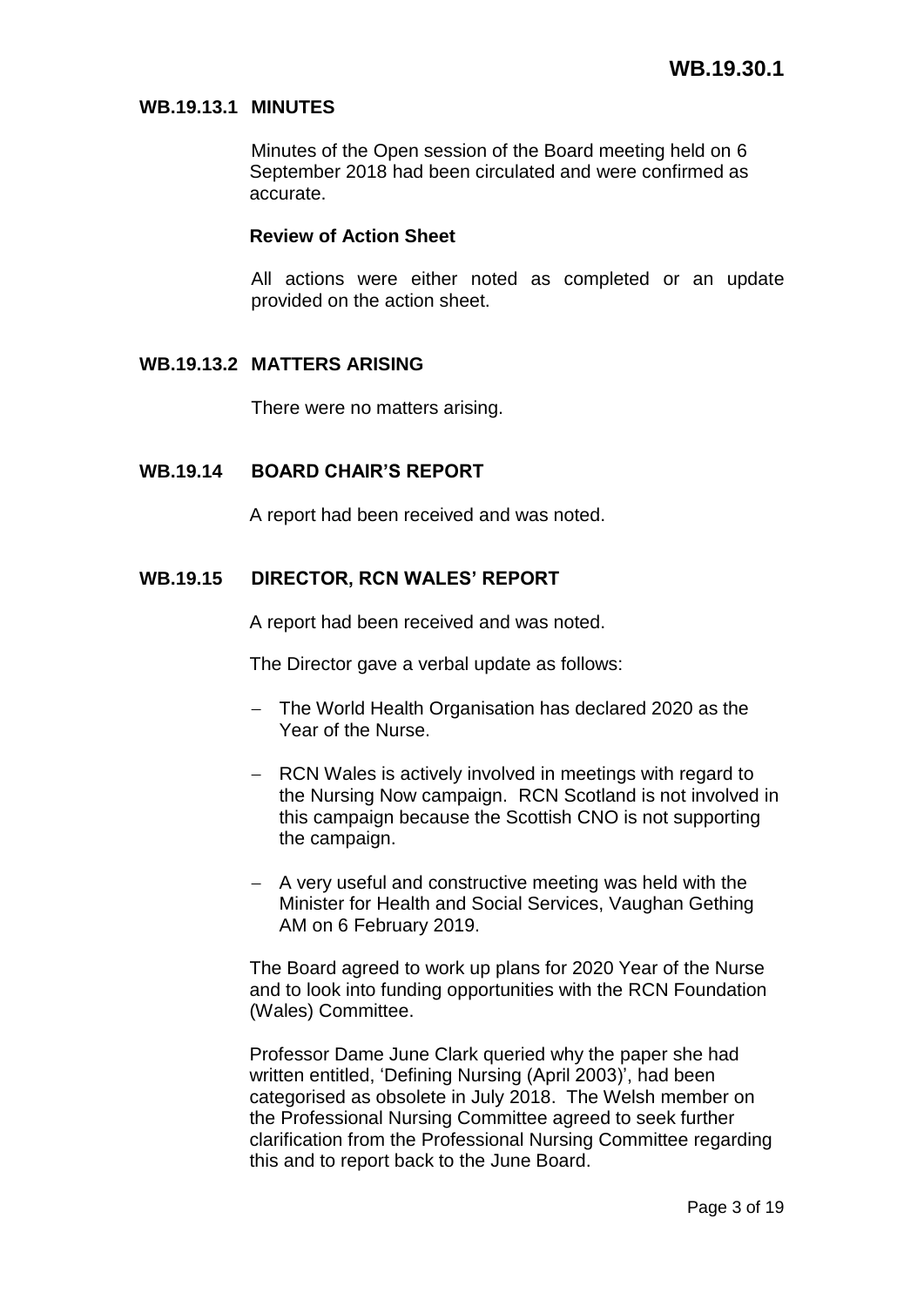### **WB.19.13.1 MINUTES**

Minutes of the Open session of the Board meeting held on 6 September 2018 had been circulated and were confirmed as accurate.

#### **Review of Action Sheet**

All actions were either noted as completed or an update provided on the action sheet.

### **WB.19.13.2 MATTERS ARISING**

There were no matters arising.

### **WB.19.14 BOARD CHAIR'S REPORT**

A report had been received and was noted.

### **WB.19.15 DIRECTOR, RCN WALES' REPORT**

A report had been received and was noted.

The Director gave a verbal update as follows:

- The World Health Organisation has declared 2020 as the Year of the Nurse.
- RCN Wales is actively involved in meetings with regard to the Nursing Now campaign. RCN Scotland is not involved in this campaign because the Scottish CNO is not supporting the campaign.
- $-$  A very useful and constructive meeting was held with the Minister for Health and Social Services, Vaughan Gething AM on 6 February 2019.

The Board agreed to work up plans for 2020 Year of the Nurse and to look into funding opportunities with the RCN Foundation (Wales) Committee.

Professor Dame June Clark queried why the paper she had written entitled, 'Defining Nursing (April 2003)', had been categorised as obsolete in July 2018. The Welsh member on the Professional Nursing Committee agreed to seek further clarification from the Professional Nursing Committee regarding this and to report back to the June Board.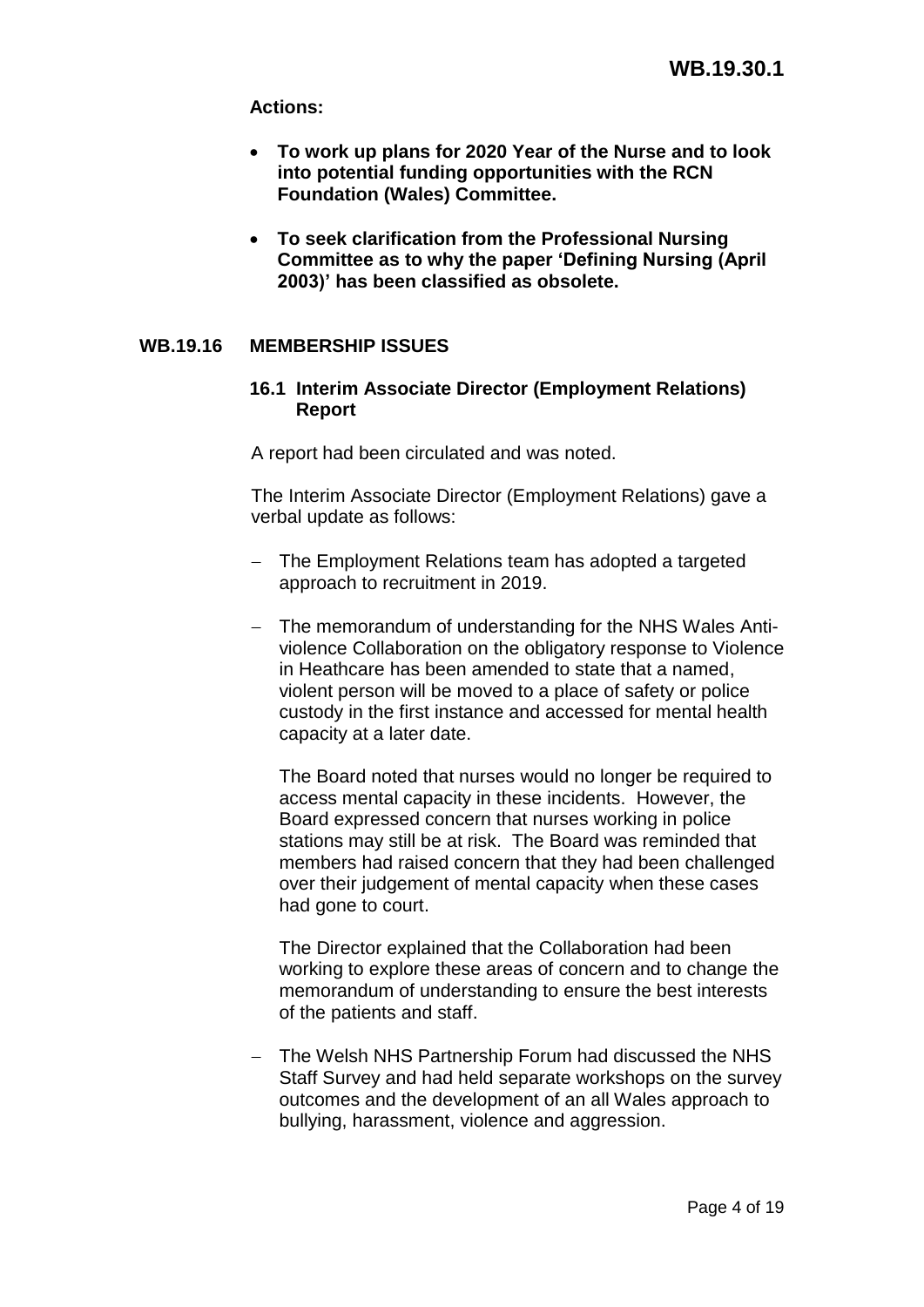# **Actions:**

- **To work up plans for 2020 Year of the Nurse and to look into potential funding opportunities with the RCN Foundation (Wales) Committee.**
- **To seek clarification from the Professional Nursing Committee as to why the paper 'Defining Nursing (April 2003)' has been classified as obsolete.**

# **WB.19.16 MEMBERSHIP ISSUES**

# **16.1 Interim Associate Director (Employment Relations) Report**

A report had been circulated and was noted.

The Interim Associate Director (Employment Relations) gave a verbal update as follows:

- The Employment Relations team has adopted a targeted approach to recruitment in 2019.
- The memorandum of understanding for the NHS Wales Antiviolence Collaboration on the obligatory response to Violence in Heathcare has been amended to state that a named, violent person will be moved to a place of safety or police custody in the first instance and accessed for mental health capacity at a later date.

The Board noted that nurses would no longer be required to access mental capacity in these incidents. However, the Board expressed concern that nurses working in police stations may still be at risk. The Board was reminded that members had raised concern that they had been challenged over their judgement of mental capacity when these cases had gone to court.

The Director explained that the Collaboration had been working to explore these areas of concern and to change the memorandum of understanding to ensure the best interests of the patients and staff.

- The Welsh NHS Partnership Forum had discussed the NHS Staff Survey and had held separate workshops on the survey outcomes and the development of an all Wales approach to bullying, harassment, violence and aggression.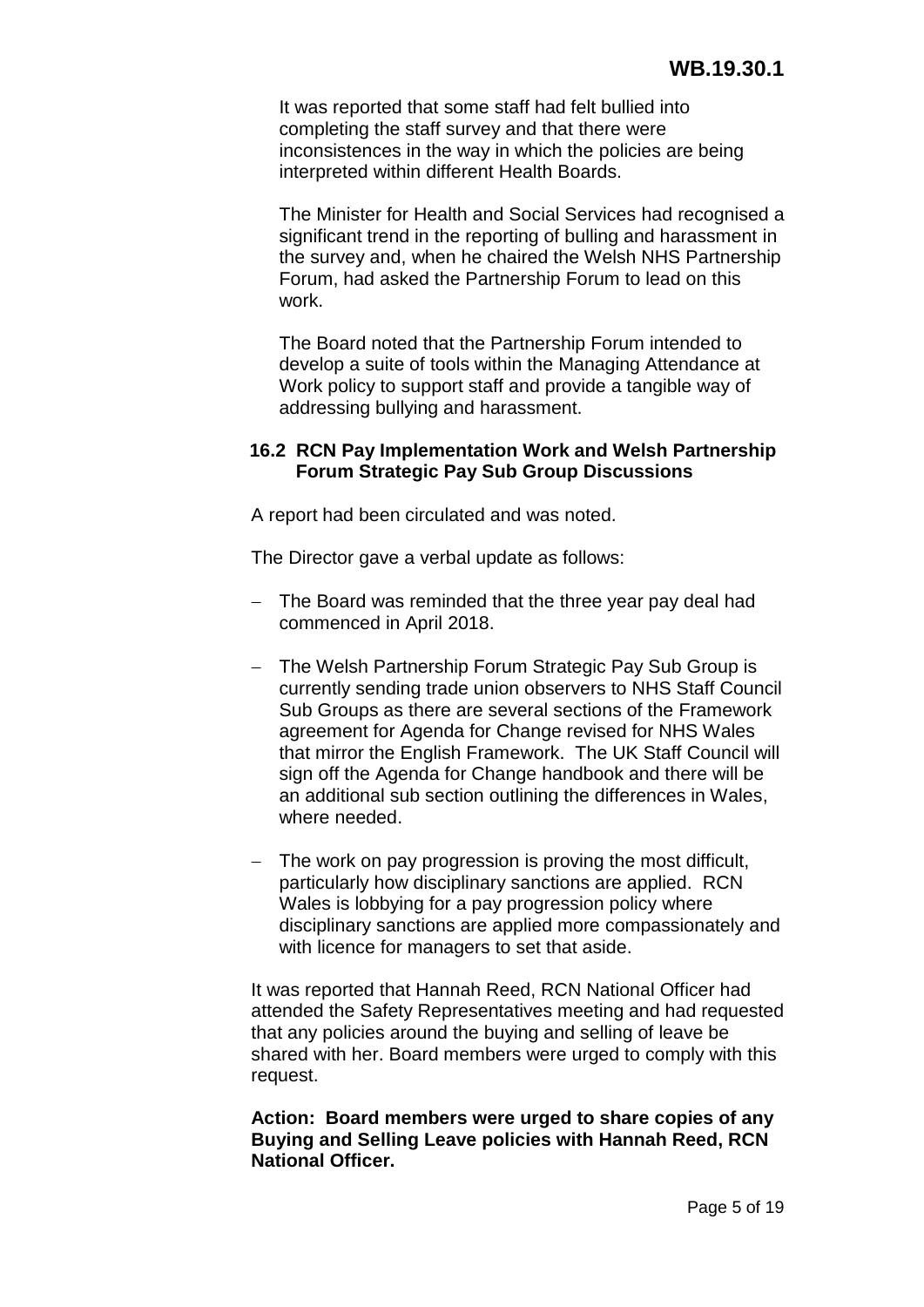It was reported that some staff had felt bullied into completing the staff survey and that there were inconsistences in the way in which the policies are being interpreted within different Health Boards.

The Minister for Health and Social Services had recognised a significant trend in the reporting of bulling and harassment in the survey and, when he chaired the Welsh NHS Partnership Forum, had asked the Partnership Forum to lead on this work.

The Board noted that the Partnership Forum intended to develop a suite of tools within the Managing Attendance at Work policy to support staff and provide a tangible way of addressing bullying and harassment.

### **16.2 RCN Pay Implementation Work and Welsh Partnership Forum Strategic Pay Sub Group Discussions**

A report had been circulated and was noted.

The Director gave a verbal update as follows:

- $-$  The Board was reminded that the three year pay deal had commenced in April 2018.
- The Welsh Partnership Forum Strategic Pay Sub Group is currently sending trade union observers to NHS Staff Council Sub Groups as there are several sections of the Framework agreement for Agenda for Change revised for NHS Wales that mirror the English Framework. The UK Staff Council will sign off the Agenda for Change handbook and there will be an additional sub section outlining the differences in Wales, where needed.
- The work on pay progression is proving the most difficult. particularly how disciplinary sanctions are applied. RCN Wales is lobbying for a pay progression policy where disciplinary sanctions are applied more compassionately and with licence for managers to set that aside.

It was reported that Hannah Reed, RCN National Officer had attended the Safety Representatives meeting and had requested that any policies around the buying and selling of leave be shared with her. Board members were urged to comply with this request.

**Action: Board members were urged to share copies of any Buying and Selling Leave policies with Hannah Reed, RCN National Officer.**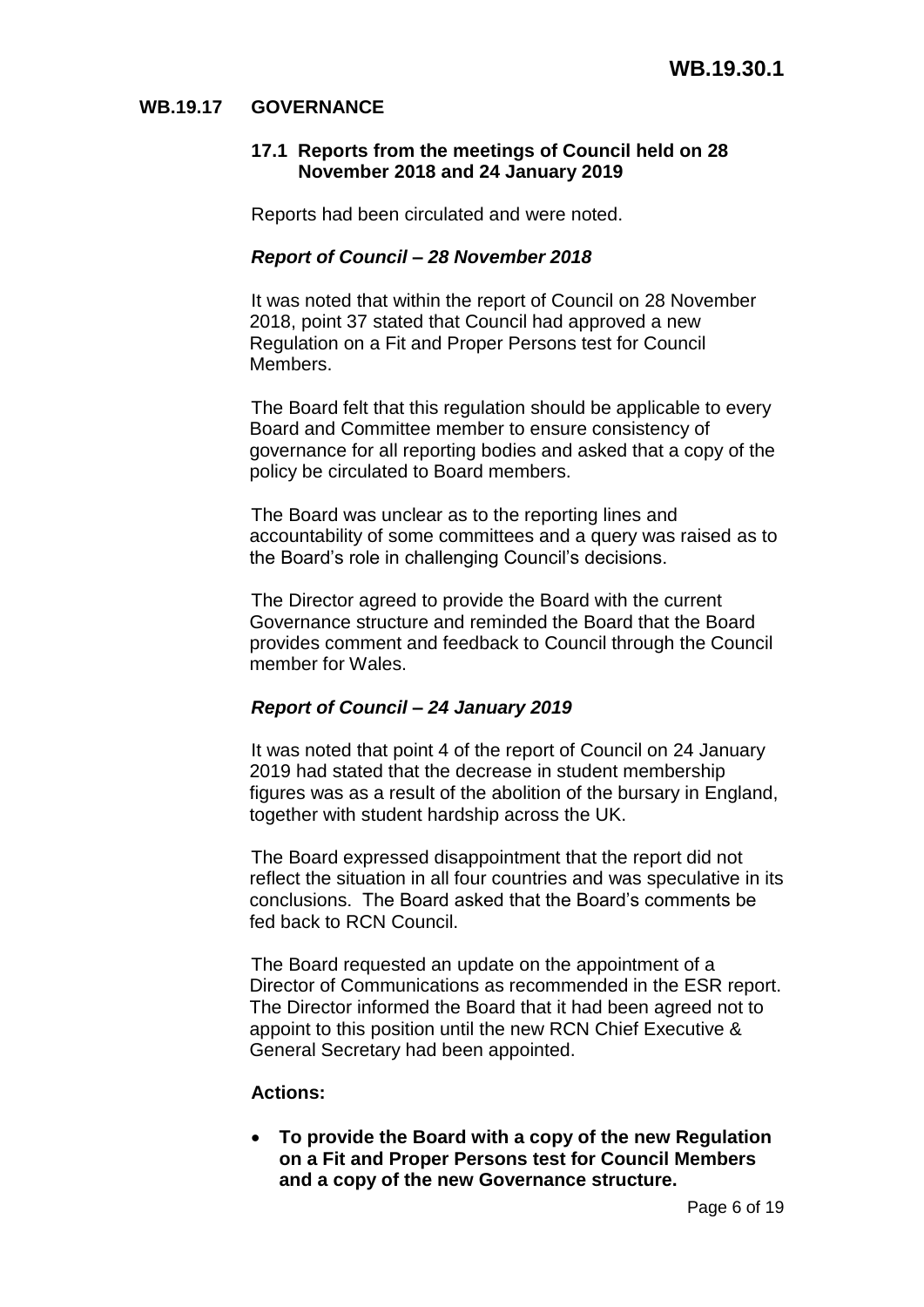# **WB.19.17 GOVERNANCE**

### **17.1 Reports from the meetings of Council held on 28 November 2018 and 24 January 2019**

Reports had been circulated and were noted.

## *Report of Council – 28 November 2018*

It was noted that within the report of Council on 28 November 2018, point 37 stated that Council had approved a new Regulation on a Fit and Proper Persons test for Council Members.

The Board felt that this regulation should be applicable to every Board and Committee member to ensure consistency of governance for all reporting bodies and asked that a copy of the policy be circulated to Board members.

The Board was unclear as to the reporting lines and accountability of some committees and a query was raised as to the Board's role in challenging Council's decisions.

The Director agreed to provide the Board with the current Governance structure and reminded the Board that the Board provides comment and feedback to Council through the Council member for Wales.

# *Report of Council – 24 January 2019*

It was noted that point 4 of the report of Council on 24 January 2019 had stated that the decrease in student membership figures was as a result of the abolition of the bursary in England, together with student hardship across the UK.

The Board expressed disappointment that the report did not reflect the situation in all four countries and was speculative in its conclusions. The Board asked that the Board's comments be fed back to RCN Council.

The Board requested an update on the appointment of a Director of Communications as recommended in the ESR report. The Director informed the Board that it had been agreed not to appoint to this position until the new RCN Chief Executive & General Secretary had been appointed.

# **Actions:**

 **To provide the Board with a copy of the new Regulation on a Fit and Proper Persons test for Council Members and a copy of the new Governance structure.**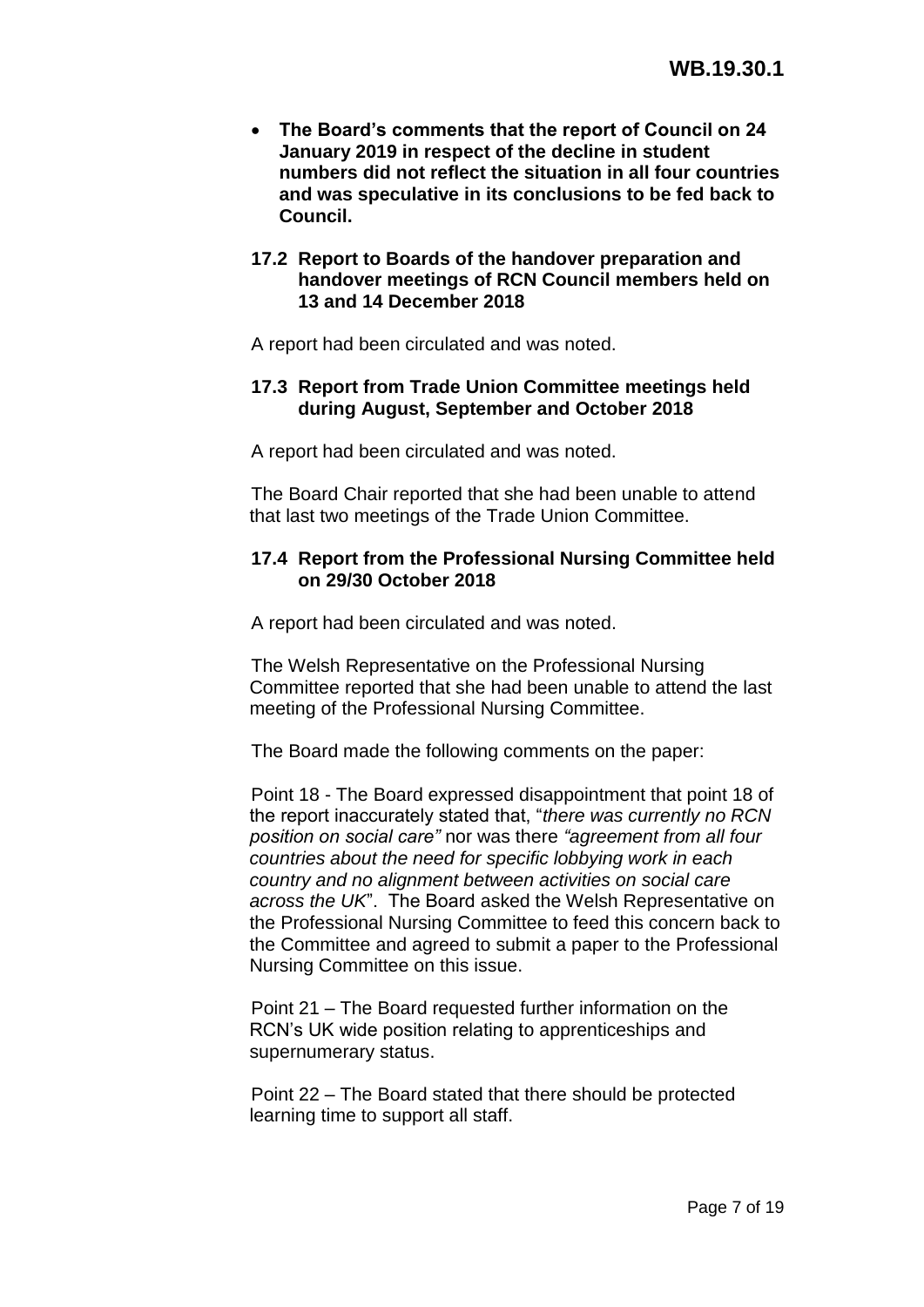- **The Board's comments that the report of Council on 24 January 2019 in respect of the decline in student numbers did not reflect the situation in all four countries and was speculative in its conclusions to be fed back to Council.**
- **17.2 Report to Boards of the handover preparation and handover meetings of RCN Council members held on 13 and 14 December 2018**

A report had been circulated and was noted.

# **17.3 Report from Trade Union Committee meetings held during August, September and October 2018**

A report had been circulated and was noted.

The Board Chair reported that she had been unable to attend that last two meetings of the Trade Union Committee.

# **17.4 Report from the Professional Nursing Committee held on 29/30 October 2018**

A report had been circulated and was noted.

The Welsh Representative on the Professional Nursing Committee reported that she had been unable to attend the last meeting of the Professional Nursing Committee.

The Board made the following comments on the paper:

Point 18 - The Board expressed disappointment that point 18 of the report inaccurately stated that, "*there was currently no RCN position on social care"* nor was there *"agreement from all four countries about the need for specific lobbying work in each country and no alignment between activities on social care across the UK*". The Board asked the Welsh Representative on the Professional Nursing Committee to feed this concern back to the Committee and agreed to submit a paper to the Professional Nursing Committee on this issue.

Point 21 – The Board requested further information on the RCN's UK wide position relating to apprenticeships and supernumerary status.

Point 22 – The Board stated that there should be protected learning time to support all staff.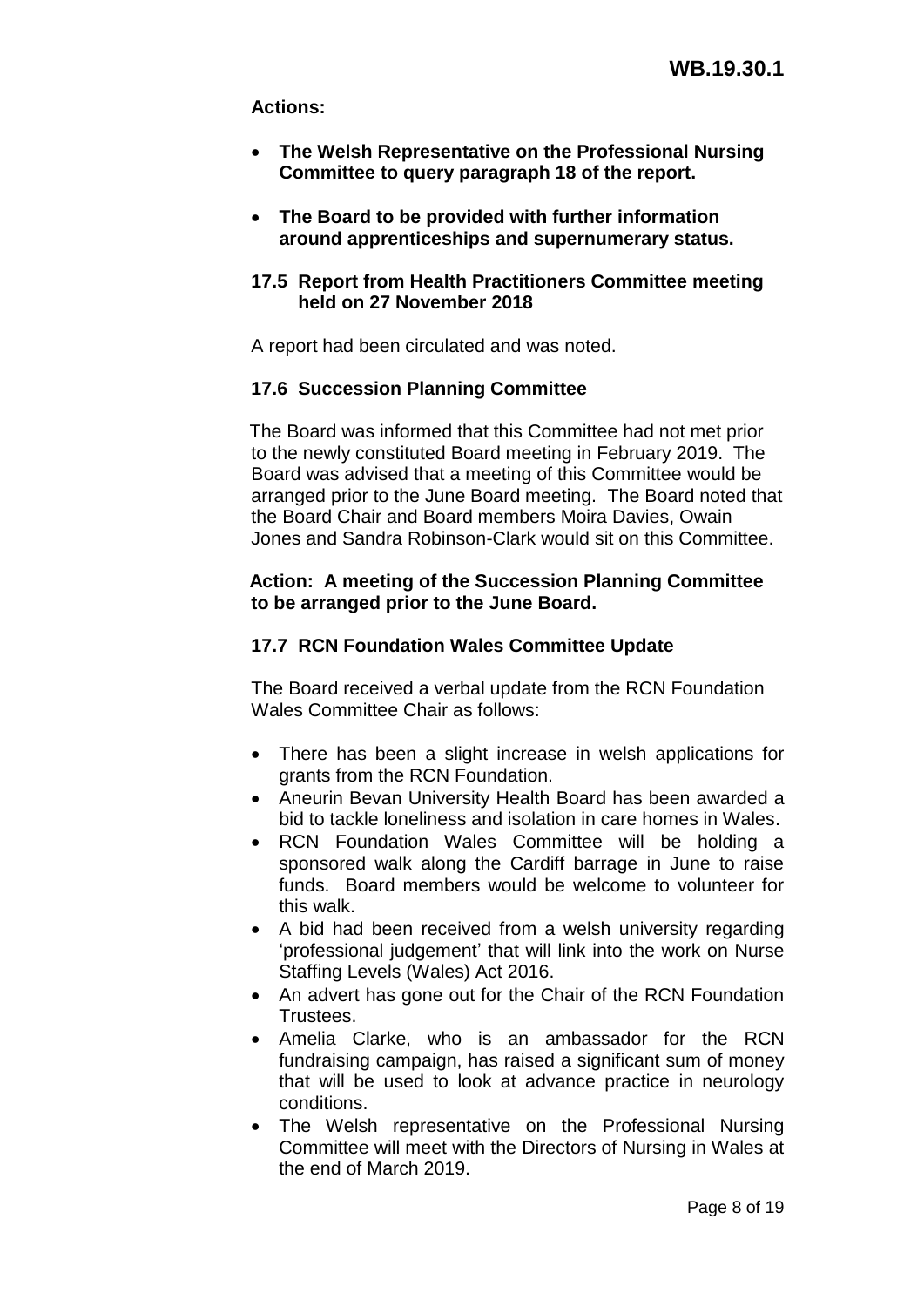# **Actions:**

- **The Welsh Representative on the Professional Nursing Committee to query paragraph 18 of the report.**
- **The Board to be provided with further information around apprenticeships and supernumerary status.**

# **17.5 Report from Health Practitioners Committee meeting held on 27 November 2018**

A report had been circulated and was noted.

# **17.6 Succession Planning Committee**

The Board was informed that this Committee had not met prior to the newly constituted Board meeting in February 2019. The Board was advised that a meeting of this Committee would be arranged prior to the June Board meeting. The Board noted that the Board Chair and Board members Moira Davies, Owain Jones and Sandra Robinson-Clark would sit on this Committee.

# **Action: A meeting of the Succession Planning Committee to be arranged prior to the June Board.**

# **17.7 RCN Foundation Wales Committee Update**

The Board received a verbal update from the RCN Foundation Wales Committee Chair as follows:

- There has been a slight increase in welsh applications for grants from the RCN Foundation.
- Aneurin Bevan University Health Board has been awarded a bid to tackle loneliness and isolation in care homes in Wales.
- RCN Foundation Wales Committee will be holding a sponsored walk along the Cardiff barrage in June to raise funds. Board members would be welcome to volunteer for this walk.
- A bid had been received from a welsh university regarding 'professional judgement' that will link into the work on Nurse Staffing Levels (Wales) Act 2016.
- An advert has gone out for the Chair of the RCN Foundation **Trustees**
- Amelia Clarke, who is an ambassador for the RCN fundraising campaign, has raised a significant sum of money that will be used to look at advance practice in neurology conditions.
- The Welsh representative on the Professional Nursing Committee will meet with the Directors of Nursing in Wales at the end of March 2019.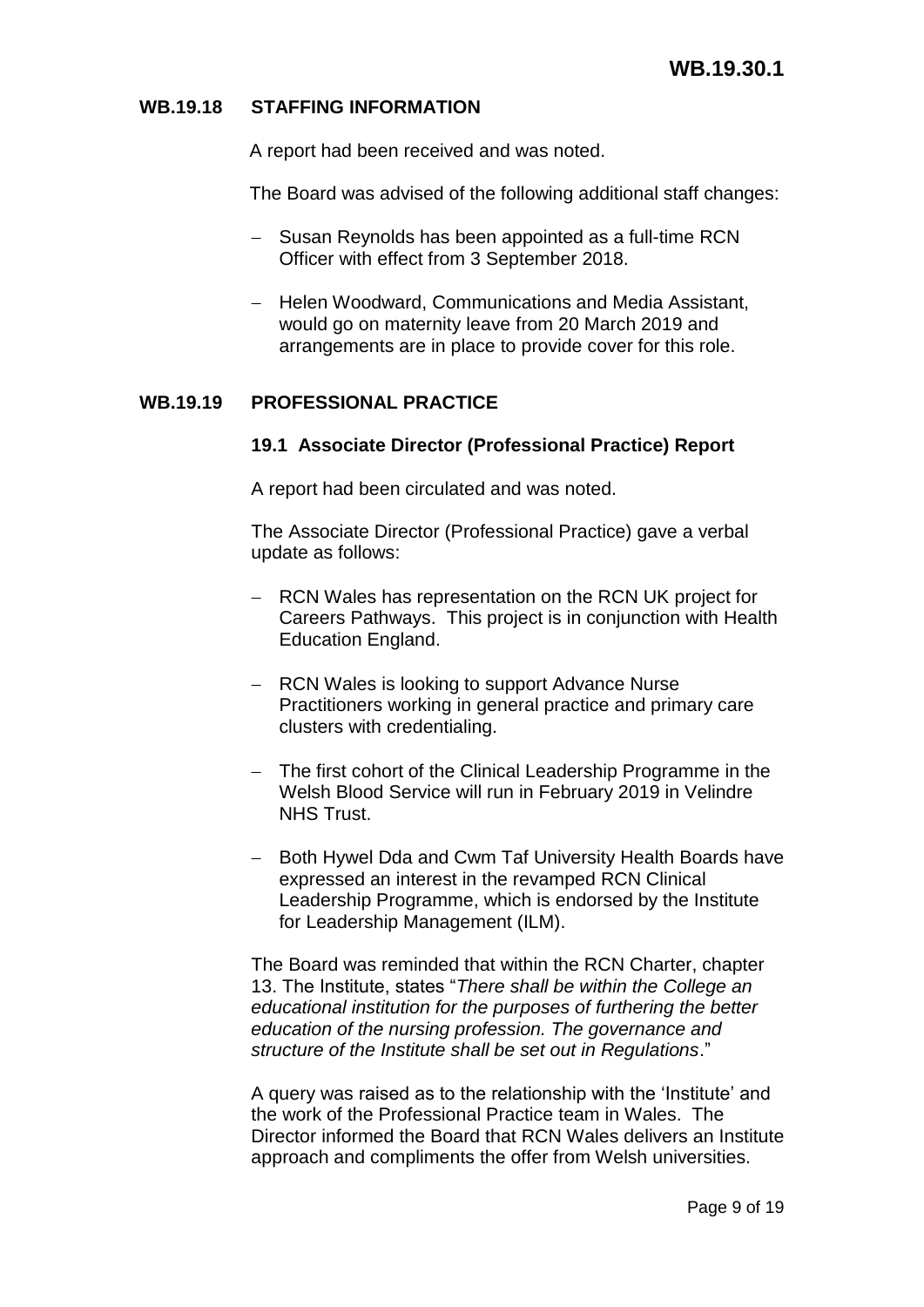# **WB.19.18 STAFFING INFORMATION**

A report had been received and was noted.

The Board was advised of the following additional staff changes:

- Susan Reynolds has been appointed as a full-time RCN Officer with effect from 3 September 2018.
- Helen Woodward, Communications and Media Assistant, would go on maternity leave from 20 March 2019 and arrangements are in place to provide cover for this role.

# **WB.19.19 PROFESSIONAL PRACTICE**

### **19.1 Associate Director (Professional Practice) Report**

A report had been circulated and was noted.

The Associate Director (Professional Practice) gave a verbal update as follows:

- RCN Wales has representation on the RCN UK project for Careers Pathways. This project is in conjunction with Health Education England.
- RCN Wales is looking to support Advance Nurse Practitioners working in general practice and primary care clusters with credentialing.
- The first cohort of the Clinical Leadership Programme in the Welsh Blood Service will run in February 2019 in Velindre NHS Trust.
- Both Hywel Dda and Cwm Taf University Health Boards have expressed an interest in the revamped RCN Clinical Leadership Programme, which is endorsed by the Institute for Leadership Management (ILM).

The Board was reminded that within the RCN Charter, chapter 13. The Institute, states "*There shall be within the College an educational institution for the purposes of furthering the better education of the nursing profession. The governance and structure of the Institute shall be set out in Regulations*."

A query was raised as to the relationship with the 'Institute' and the work of the Professional Practice team in Wales. The Director informed the Board that RCN Wales delivers an Institute approach and compliments the offer from Welsh universities.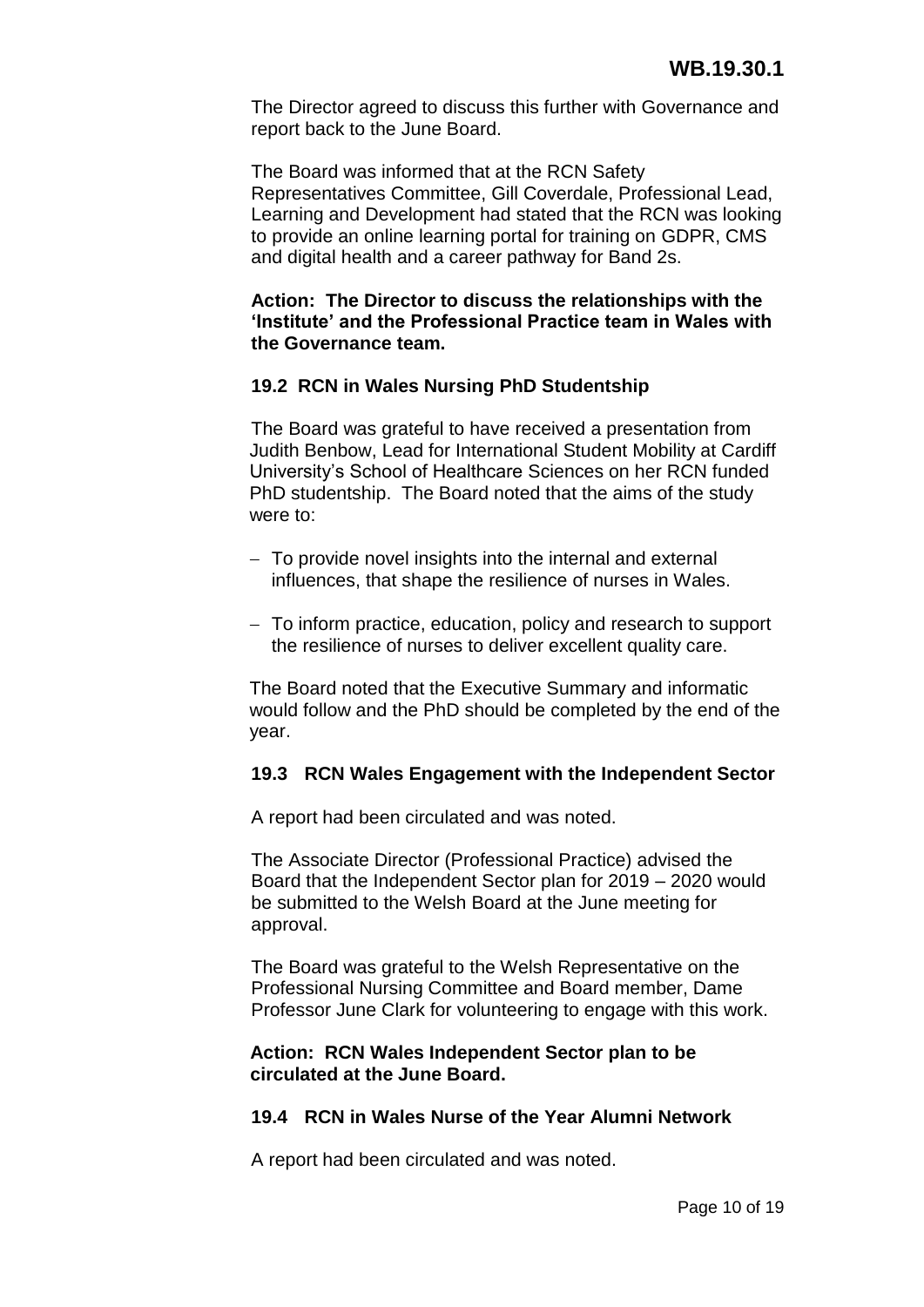The Director agreed to discuss this further with Governance and report back to the June Board.

The Board was informed that at the RCN Safety Representatives Committee, Gill Coverdale, Professional Lead, Learning and Development had stated that the RCN was looking to provide an online learning portal for training on GDPR, CMS and digital health and a career pathway for Band 2s.

### **Action: The Director to discuss the relationships with the 'Institute' and the Professional Practice team in Wales with the Governance team.**

# **19.2 RCN in Wales Nursing PhD Studentship**

The Board was grateful to have received a presentation from Judith Benbow, Lead for International Student Mobility at Cardiff University's School of Healthcare Sciences on her RCN funded PhD studentship. The Board noted that the aims of the study were to:

- To provide novel insights into the internal and external influences, that shape the resilience of nurses in Wales.
- To inform practice, education, policy and research to support the resilience of nurses to deliver excellent quality care.

The Board noted that the Executive Summary and informatic would follow and the PhD should be completed by the end of the year.

# **19.3 RCN Wales Engagement with the Independent Sector**

A report had been circulated and was noted.

The Associate Director (Professional Practice) advised the Board that the Independent Sector plan for 2019 – 2020 would be submitted to the Welsh Board at the June meeting for approval.

The Board was grateful to the Welsh Representative on the Professional Nursing Committee and Board member, Dame Professor June Clark for volunteering to engage with this work.

### **Action: RCN Wales Independent Sector plan to be circulated at the June Board.**

#### **19.4 RCN in Wales Nurse of the Year Alumni Network**

A report had been circulated and was noted.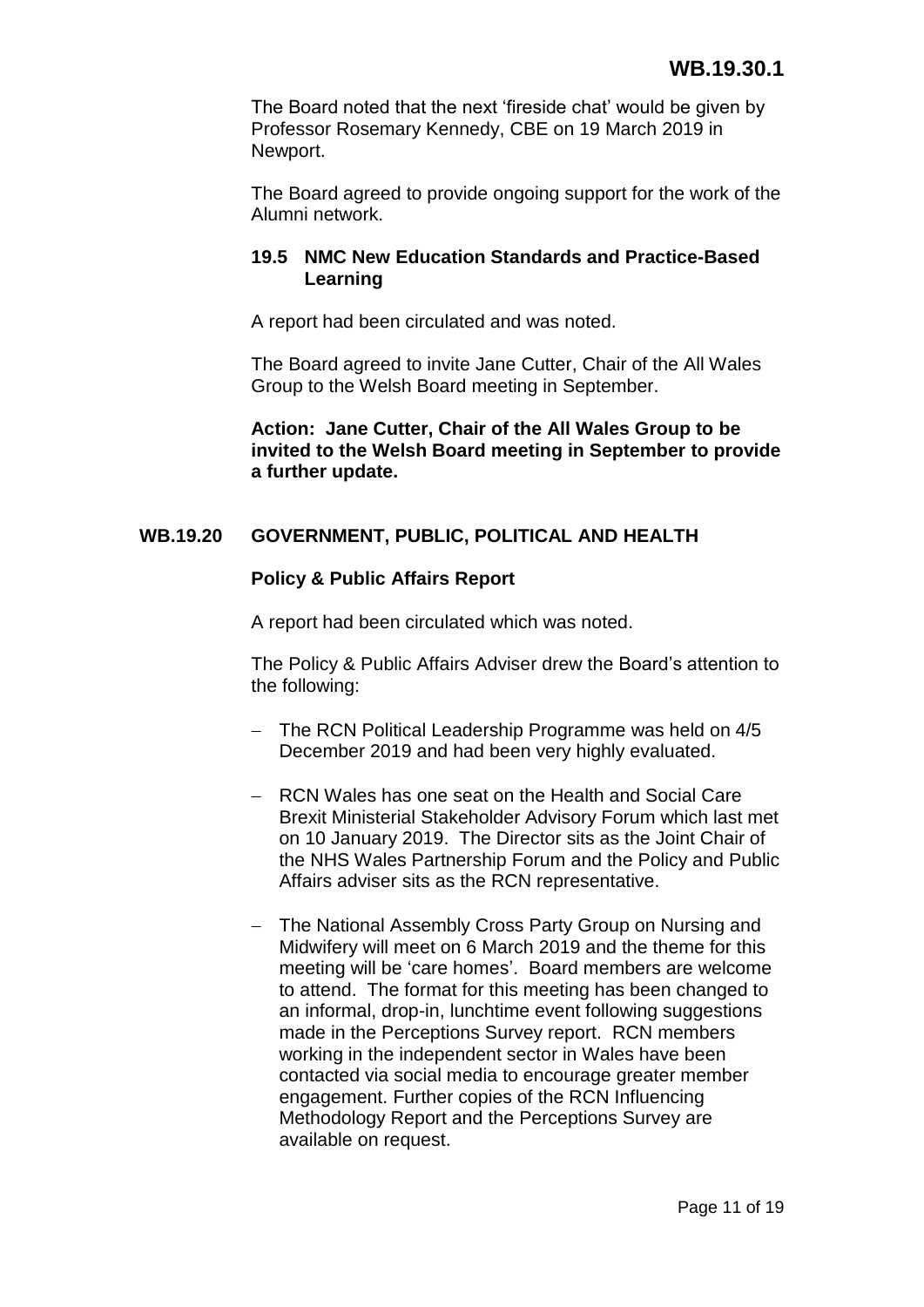The Board noted that the next 'fireside chat' would be given by Professor Rosemary Kennedy, CBE on 19 March 2019 in Newport.

The Board agreed to provide ongoing support for the work of the Alumni network.

# **19.5 NMC New Education Standards and Practice-Based Learning**

A report had been circulated and was noted.

The Board agreed to invite Jane Cutter, Chair of the All Wales Group to the Welsh Board meeting in September.

**Action: Jane Cutter, Chair of the All Wales Group to be invited to the Welsh Board meeting in September to provide a further update.**

# **WB.19.20 GOVERNMENT, PUBLIC, POLITICAL AND HEALTH**

# **Policy & Public Affairs Report**

A report had been circulated which was noted.

The Policy & Public Affairs Adviser drew the Board's attention to the following:

- The RCN Political Leadership Programme was held on 4/5 December 2019 and had been very highly evaluated.
- RCN Wales has one seat on the Health and Social Care Brexit Ministerial Stakeholder Advisory Forum which last met on 10 January 2019. The Director sits as the Joint Chair of the NHS Wales Partnership Forum and the Policy and Public Affairs adviser sits as the RCN representative.
- The National Assembly Cross Party Group on Nursing and Midwifery will meet on 6 March 2019 and the theme for this meeting will be 'care homes'. Board members are welcome to attend. The format for this meeting has been changed to an informal, drop-in, lunchtime event following suggestions made in the Perceptions Survey report. RCN members working in the independent sector in Wales have been contacted via social media to encourage greater member engagement. Further copies of the RCN Influencing Methodology Report and the Perceptions Survey are available on request.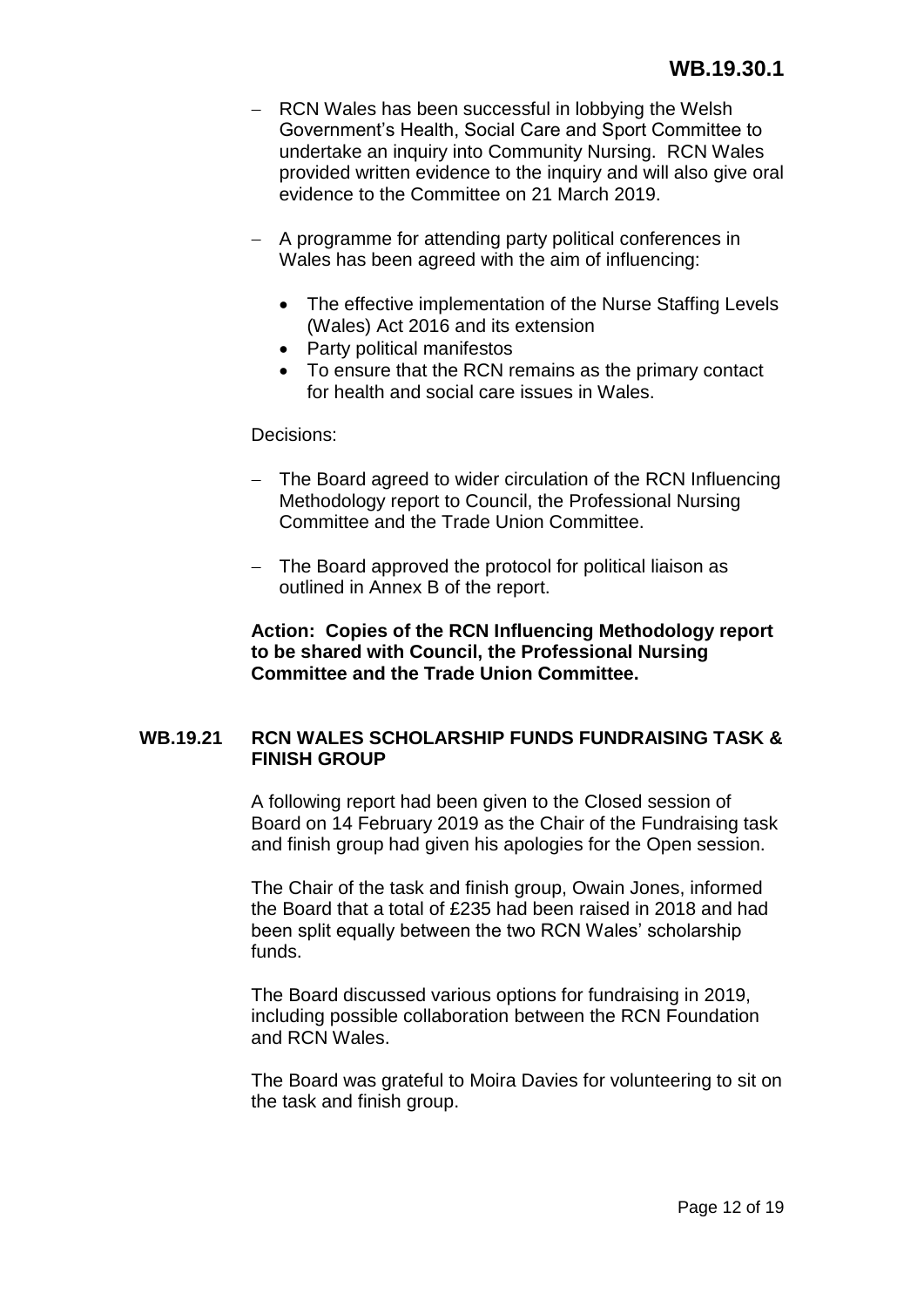- RCN Wales has been successful in lobbying the Welsh Government's Health, Social Care and Sport Committee to undertake an inquiry into Community Nursing. RCN Wales provided written evidence to the inquiry and will also give oral evidence to the Committee on 21 March 2019.
- A programme for attending party political conferences in Wales has been agreed with the aim of influencing:
	- The effective implementation of the Nurse Staffing Levels (Wales) Act 2016 and its extension
	- Party political manifestos
	- To ensure that the RCN remains as the primary contact for health and social care issues in Wales.

## Decisions:

- The Board agreed to wider circulation of the RCN Influencing Methodology report to Council, the Professional Nursing Committee and the Trade Union Committee.
- The Board approved the protocol for political liaison as outlined in Annex B of the report.

# **Action: Copies of the RCN Influencing Methodology report to be shared with Council, the Professional Nursing Committee and the Trade Union Committee.**

# **WB.19.21 RCN WALES SCHOLARSHIP FUNDS FUNDRAISING TASK & FINISH GROUP**

A following report had been given to the Closed session of Board on 14 February 2019 as the Chair of the Fundraising task and finish group had given his apologies for the Open session.

The Chair of the task and finish group, Owain Jones, informed the Board that a total of £235 had been raised in 2018 and had been split equally between the two RCN Wales' scholarship funds.

The Board discussed various options for fundraising in 2019, including possible collaboration between the RCN Foundation and RCN Wales.

The Board was grateful to Moira Davies for volunteering to sit on the task and finish group.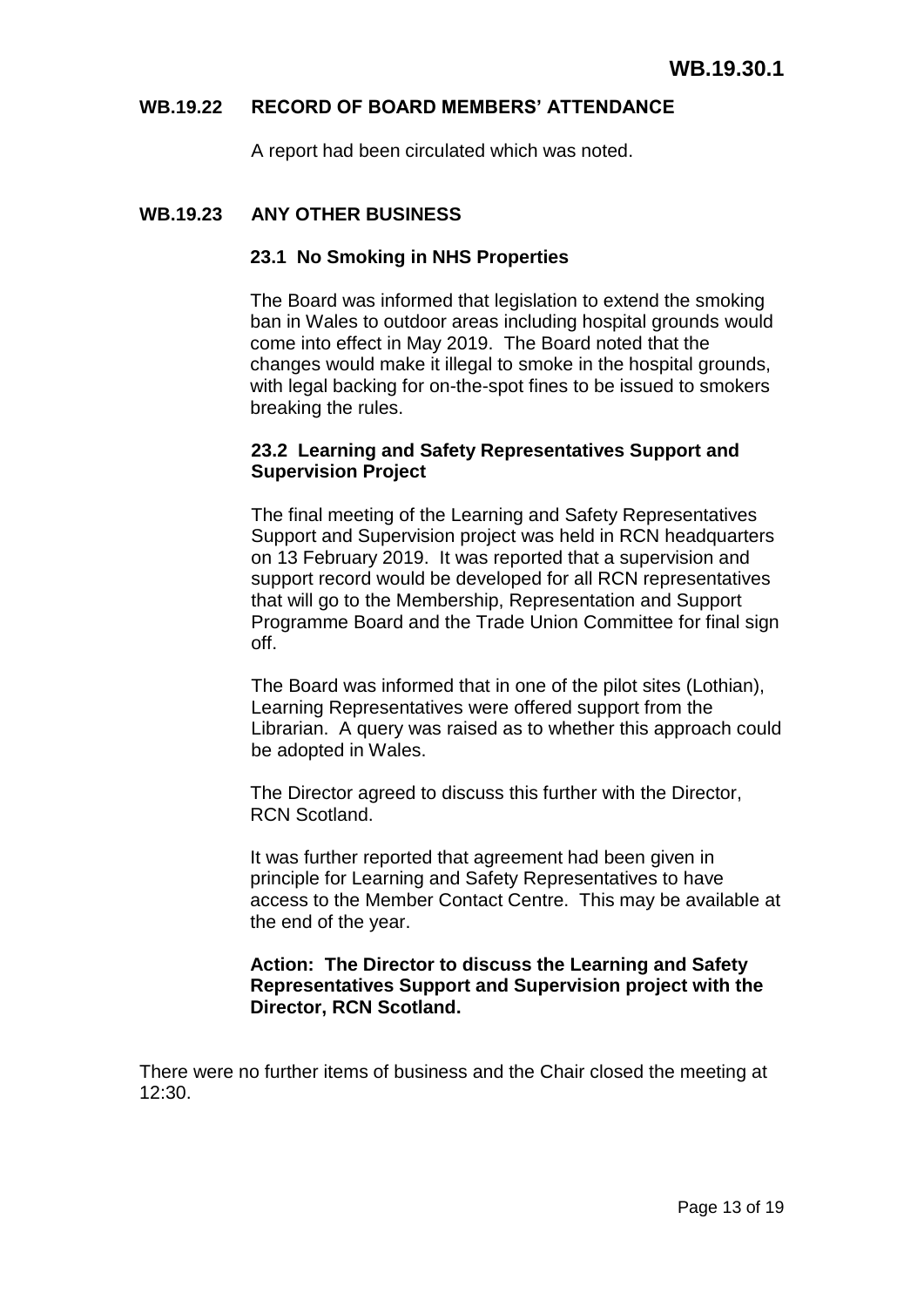### **WB.19.22 RECORD OF BOARD MEMBERS' ATTENDANCE**

A report had been circulated which was noted.

### **WB.19.23 ANY OTHER BUSINESS**

#### **23.1 No Smoking in NHS Properties**

The Board was informed that legislation to extend the smoking ban in Wales to outdoor areas including hospital grounds would come into effect in May 2019. The Board noted that the changes would make it illegal to smoke in the hospital grounds, with legal backing for on-the-spot fines to be issued to smokers breaking the rules.

## **23.2 Learning and Safety Representatives Support and Supervision Project**

The final meeting of the Learning and Safety Representatives Support and Supervision project was held in RCN headquarters on 13 February 2019. It was reported that a supervision and support record would be developed for all RCN representatives that will go to the Membership, Representation and Support Programme Board and the Trade Union Committee for final sign off.

The Board was informed that in one of the pilot sites (Lothian), Learning Representatives were offered support from the Librarian. A query was raised as to whether this approach could be adopted in Wales.

The Director agreed to discuss this further with the Director, RCN Scotland.

It was further reported that agreement had been given in principle for Learning and Safety Representatives to have access to the Member Contact Centre. This may be available at the end of the year.

## **Action: The Director to discuss the Learning and Safety Representatives Support and Supervision project with the Director, RCN Scotland.**

There were no further items of business and the Chair closed the meeting at 12:30.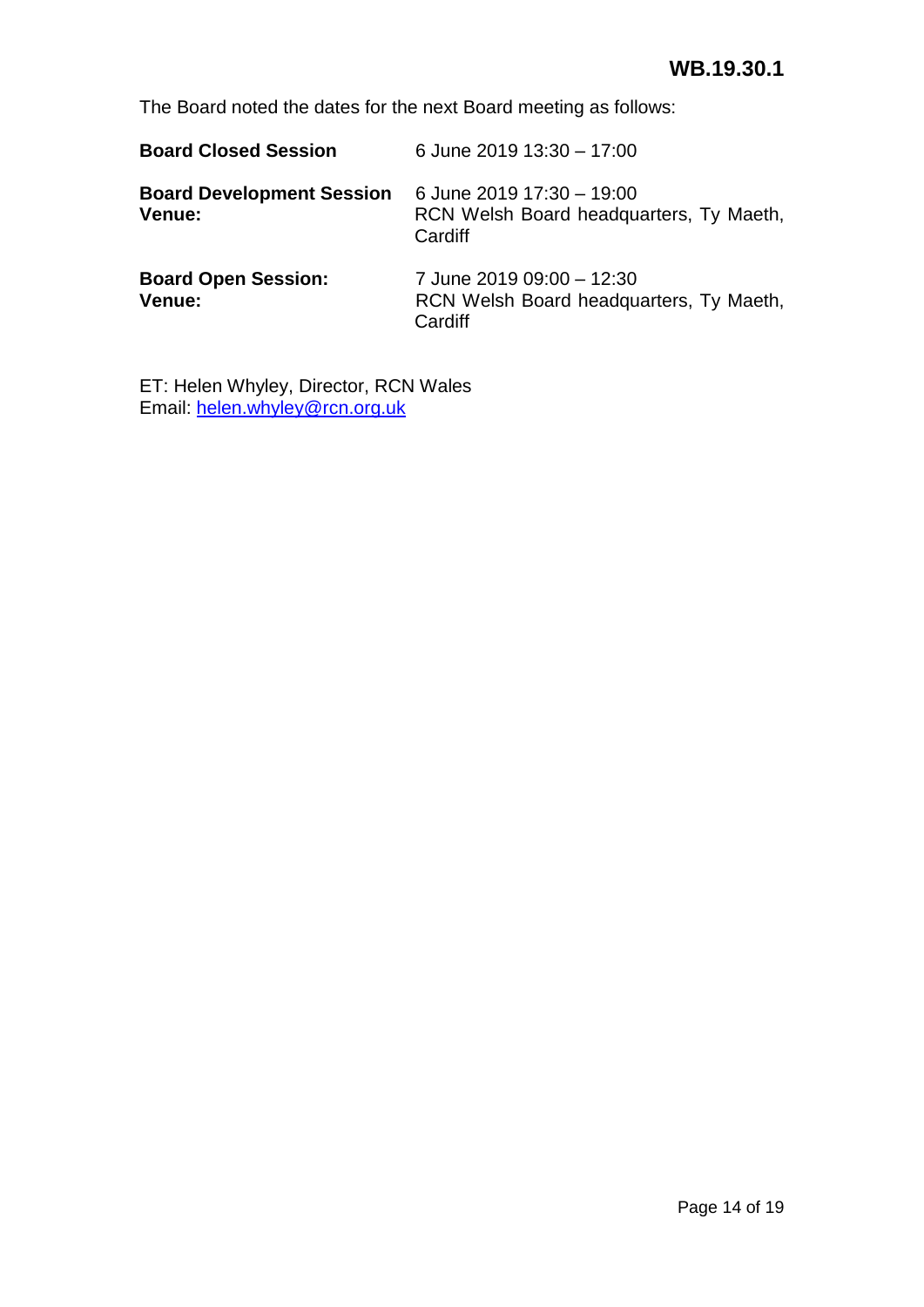The Board noted the dates for the next Board meeting as follows:

| <b>Board Closed Session</b>                | 6 June 2019 13:30 - 17:00                                                       |
|--------------------------------------------|---------------------------------------------------------------------------------|
| <b>Board Development Session</b><br>Venue: | 6 June 2019 17:30 - 19:00<br>RCN Welsh Board headquarters, Ty Maeth,<br>Cardiff |
| <b>Board Open Session:</b><br>Venue:       | 7 June 2019 09:00 - 12:30<br>RCN Welsh Board headquarters, Ty Maeth,<br>Cardiff |

ET: Helen Whyley, Director, RCN Wales Email: [helen.whyley@rcn.org.uk](mailto:helen.whyley@rcn.org.uk)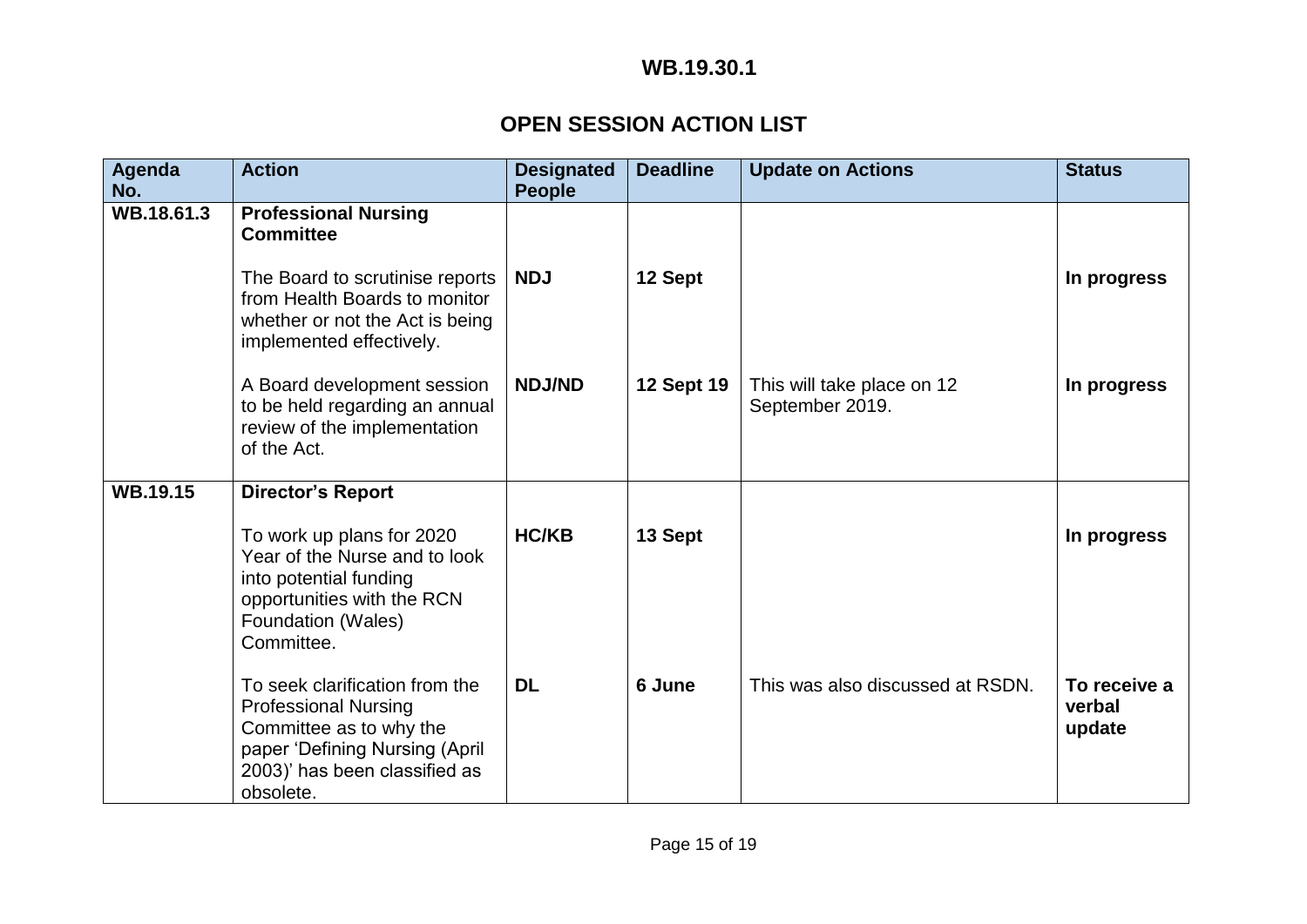# **WB.19.30.1**

# **OPEN SESSION ACTION LIST**

| Agenda<br>No.   | <b>Action</b>                                                                                                                                                            | <b>Designated</b><br><b>People</b> | <b>Deadline</b>   | <b>Update on Actions</b>                      | <b>Status</b>                    |
|-----------------|--------------------------------------------------------------------------------------------------------------------------------------------------------------------------|------------------------------------|-------------------|-----------------------------------------------|----------------------------------|
| WB.18.61.3      | <b>Professional Nursing</b><br><b>Committee</b>                                                                                                                          |                                    |                   |                                               |                                  |
|                 | The Board to scrutinise reports<br>from Health Boards to monitor<br>whether or not the Act is being<br>implemented effectively.                                          | <b>NDJ</b>                         | 12 Sept           |                                               | In progress                      |
|                 | A Board development session<br>to be held regarding an annual<br>review of the implementation<br>of the Act.                                                             | <b>NDJ/ND</b>                      | <b>12 Sept 19</b> | This will take place on 12<br>September 2019. | In progress                      |
| <b>WB.19.15</b> | <b>Director's Report</b>                                                                                                                                                 |                                    |                   |                                               |                                  |
|                 | To work up plans for 2020<br>Year of the Nurse and to look<br>into potential funding<br>opportunities with the RCN<br>Foundation (Wales)<br>Committee.                   | <b>HC/KB</b>                       | 13 Sept           |                                               | In progress                      |
|                 | To seek clarification from the<br><b>Professional Nursing</b><br>Committee as to why the<br>paper 'Defining Nursing (April<br>2003)' has been classified as<br>obsolete. | <b>DL</b>                          | 6 June            | This was also discussed at RSDN.              | To receive a<br>verbal<br>update |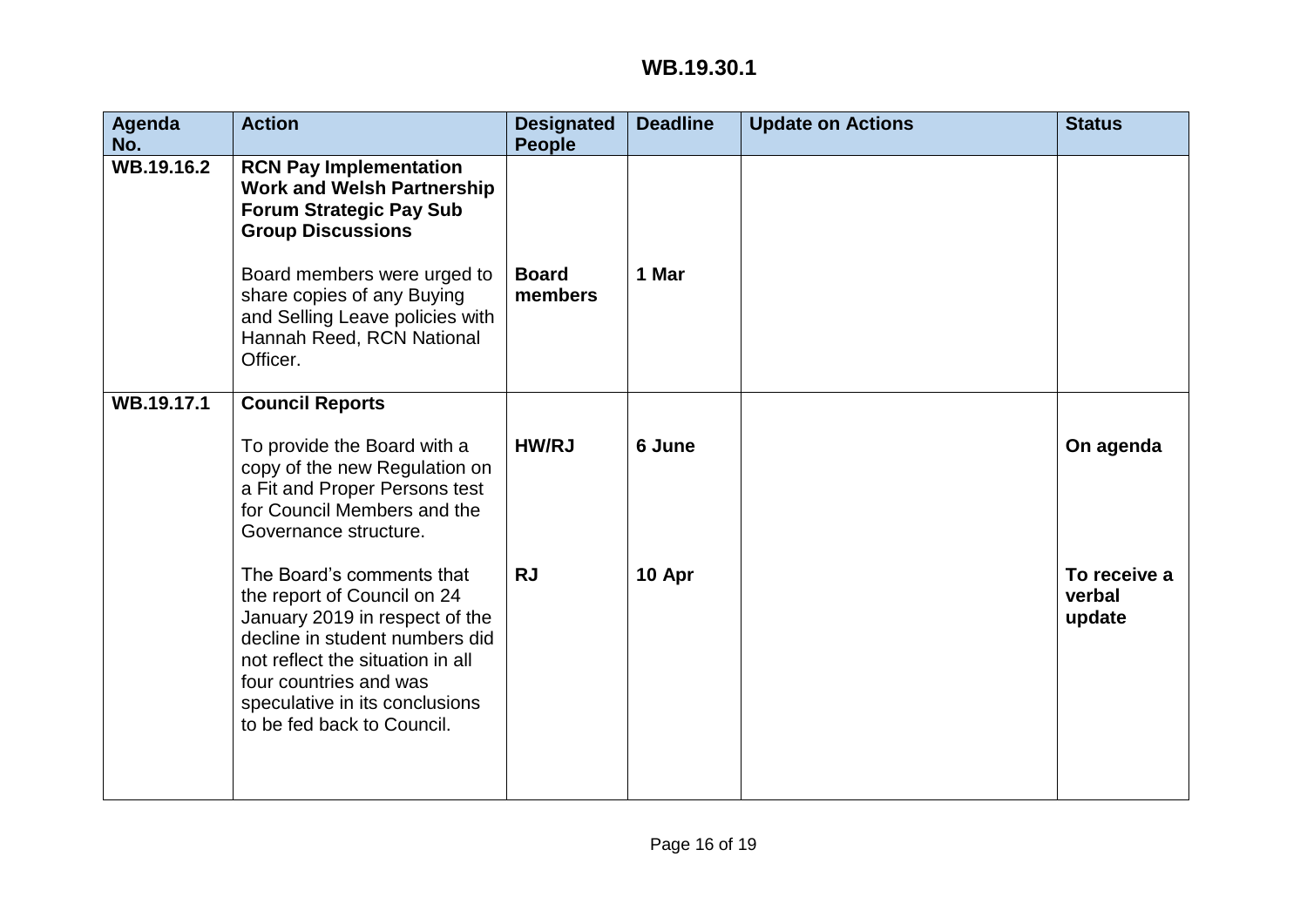# **WB.19.30.1**

| Agenda<br>No. | <b>Action</b>                                                                                                                                                                                                                                              | <b>Designated</b><br><b>People</b> | <b>Deadline</b> | <b>Update on Actions</b> | <b>Status</b>                    |
|---------------|------------------------------------------------------------------------------------------------------------------------------------------------------------------------------------------------------------------------------------------------------------|------------------------------------|-----------------|--------------------------|----------------------------------|
| WB.19.16.2    | <b>RCN Pay Implementation</b><br><b>Work and Welsh Partnership</b><br><b>Forum Strategic Pay Sub</b><br><b>Group Discussions</b>                                                                                                                           |                                    |                 |                          |                                  |
|               | Board members were urged to<br>share copies of any Buying<br>and Selling Leave policies with<br>Hannah Reed, RCN National<br>Officer.                                                                                                                      | <b>Board</b><br>members            | 1 Mar           |                          |                                  |
| WB.19.17.1    | <b>Council Reports</b>                                                                                                                                                                                                                                     |                                    |                 |                          |                                  |
|               | To provide the Board with a<br>copy of the new Regulation on<br>a Fit and Proper Persons test<br>for Council Members and the<br>Governance structure.                                                                                                      | <b>HW/RJ</b>                       | 6 June          |                          | On agenda                        |
|               | The Board's comments that<br>the report of Council on 24<br>January 2019 in respect of the<br>decline in student numbers did<br>not reflect the situation in all<br>four countries and was<br>speculative in its conclusions<br>to be fed back to Council. | <b>RJ</b>                          | 10 Apr          |                          | To receive a<br>verbal<br>update |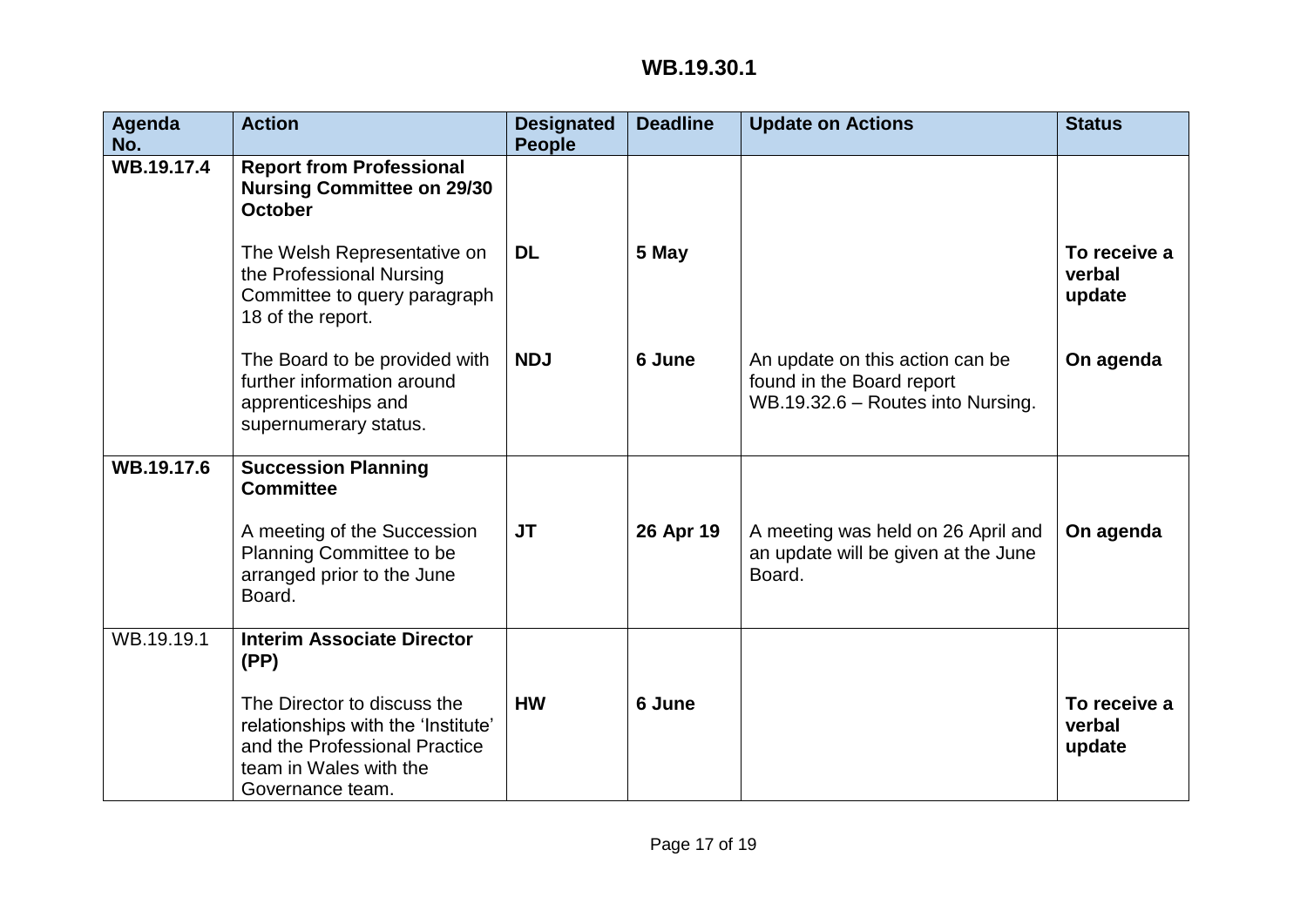| Agenda<br>No. | <b>Action</b>                                                                                                                                    | <b>Designated</b><br><b>People</b> | <b>Deadline</b> | <b>Update on Actions</b>                                                                          | <b>Status</b>                    |
|---------------|--------------------------------------------------------------------------------------------------------------------------------------------------|------------------------------------|-----------------|---------------------------------------------------------------------------------------------------|----------------------------------|
| WB.19.17.4    | <b>Report from Professional</b><br><b>Nursing Committee on 29/30</b><br><b>October</b>                                                           |                                    |                 |                                                                                                   |                                  |
|               | The Welsh Representative on<br>the Professional Nursing<br>Committee to query paragraph<br>18 of the report.                                     | <b>DL</b>                          | 5 May           |                                                                                                   | To receive a<br>verbal<br>update |
|               | The Board to be provided with<br>further information around<br>apprenticeships and<br>supernumerary status.                                      | <b>NDJ</b>                         | 6 June          | An update on this action can be<br>found in the Board report<br>WB.19.32.6 - Routes into Nursing. | On agenda                        |
| WB.19.17.6    | <b>Succession Planning</b><br><b>Committee</b>                                                                                                   |                                    |                 |                                                                                                   |                                  |
|               | A meeting of the Succession<br>Planning Committee to be<br>arranged prior to the June<br>Board.                                                  | JT                                 | 26 Apr 19       | A meeting was held on 26 April and<br>an update will be given at the June<br>Board.               | On agenda                        |
| WB.19.19.1    | <b>Interim Associate Director</b><br>(PP)                                                                                                        |                                    |                 |                                                                                                   |                                  |
|               | The Director to discuss the<br>relationships with the 'Institute'<br>and the Professional Practice<br>team in Wales with the<br>Governance team. | <b>HW</b>                          | 6 June          |                                                                                                   | To receive a<br>verbal<br>update |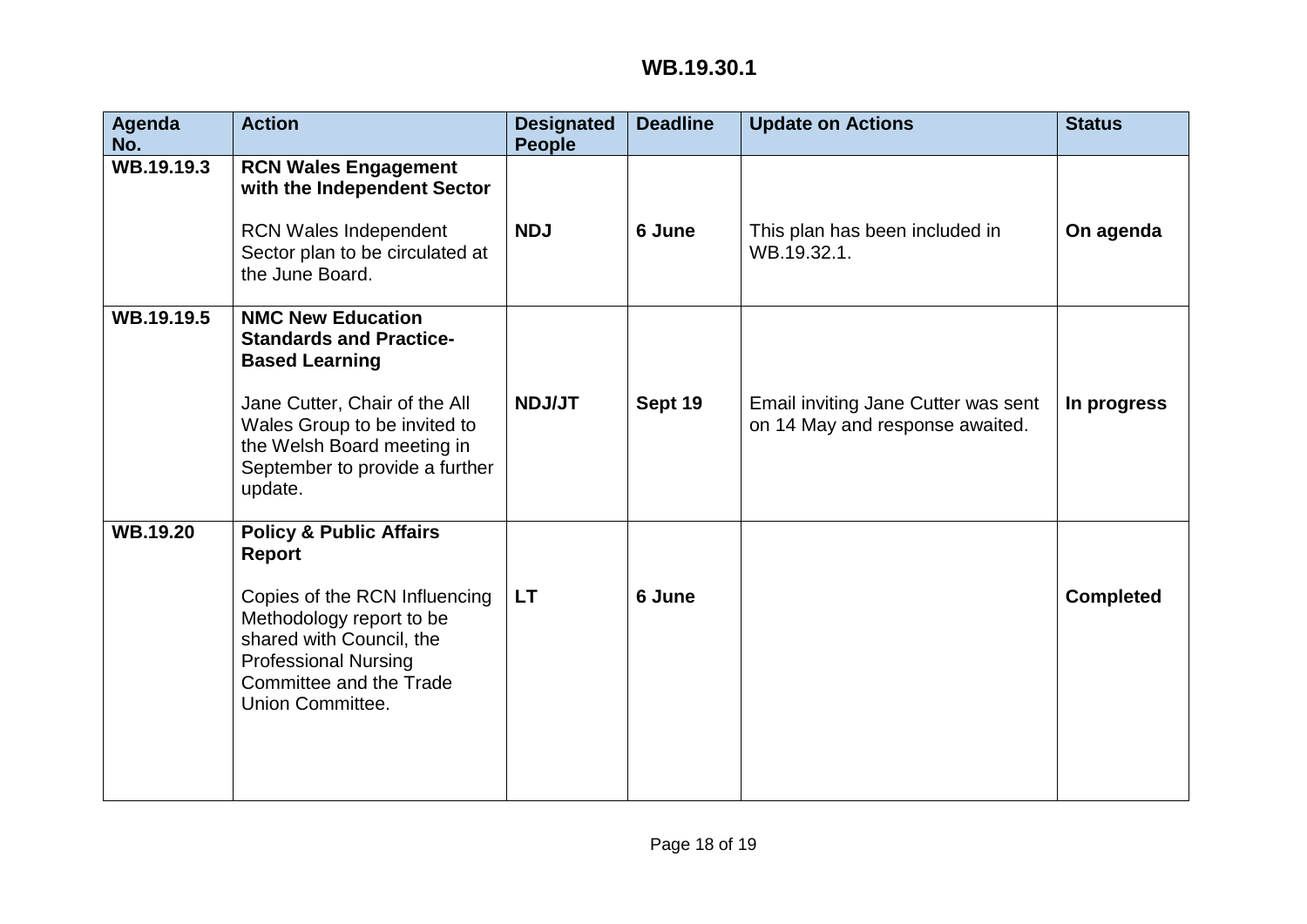| Agenda<br>No.   | <b>Action</b>                                                                                                                                                                                                                   | <b>Designated</b><br><b>People</b> | <b>Deadline</b> | <b>Update on Actions</b>                                               | <b>Status</b>    |
|-----------------|---------------------------------------------------------------------------------------------------------------------------------------------------------------------------------------------------------------------------------|------------------------------------|-----------------|------------------------------------------------------------------------|------------------|
| WB.19.19.3      | <b>RCN Wales Engagement</b><br>with the Independent Sector<br>RCN Wales Independent<br>Sector plan to be circulated at<br>the June Board.                                                                                       | <b>NDJ</b>                         | 6 June          | This plan has been included in<br>WB.19.32.1.                          | On agenda        |
| WB.19.19.5      | <b>NMC New Education</b><br><b>Standards and Practice-</b><br><b>Based Learning</b><br>Jane Cutter, Chair of the All<br>Wales Group to be invited to<br>the Welsh Board meeting in<br>September to provide a further<br>update. | <b>NDJ/JT</b>                      | Sept 19         | Email inviting Jane Cutter was sent<br>on 14 May and response awaited. | In progress      |
| <b>WB.19.20</b> | <b>Policy &amp; Public Affairs</b><br><b>Report</b><br>Copies of the RCN Influencing<br>Methodology report to be<br>shared with Council, the<br><b>Professional Nursing</b><br>Committee and the Trade<br>Union Committee.      | <b>LT</b>                          | 6 June          |                                                                        | <b>Completed</b> |